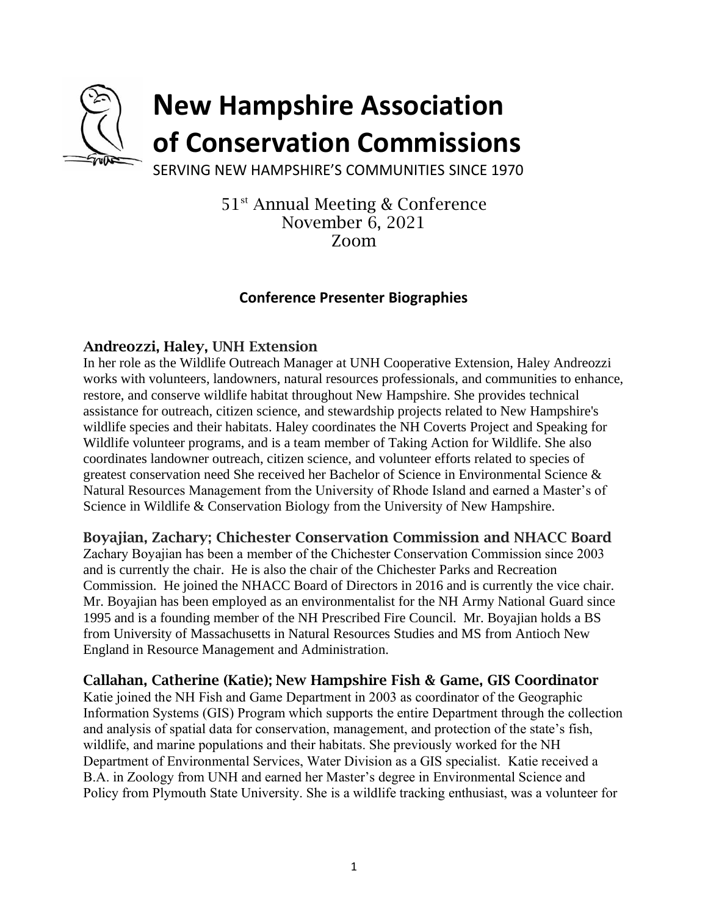

# **New Hampshire Association of Conservation Commissions**

SERVING NEW HAMPSHIRE'S COMMUNITIES SINCE 1970

51 st Annual Meeting & Conference November 6, 2021 Zoom

# **Conference Presenter Biographies**

## Andreozzi, Haley, UNH Extension

In her role as the Wildlife Outreach Manager at UNH Cooperative Extension, Haley Andreozzi works with volunteers, landowners, natural resources professionals, and communities to enhance, restore, and conserve wildlife habitat throughout New Hampshire. She provides technical assistance for outreach, citizen science, and stewardship projects related to New Hampshire's wildlife species and their habitats. Haley coordinates the NH Coverts Project and Speaking for Wildlife volunteer programs, and is a team member of Taking Action for Wildlife. She also coordinates landowner outreach, citizen science, and volunteer efforts related to species of greatest conservation need She received her Bachelor of Science in Environmental Science & Natural Resources Management from the University of Rhode Island and earned a Master's of Science in Wildlife & Conservation Biology from the University of New Hampshire.

Boyajian, Zachary; Chichester Conservation Commission and NHACC Board

Zachary Boyajian has been a member of the Chichester Conservation Commission since 2003 and is currently the chair. He is also the chair of the Chichester Parks and Recreation Commission. He joined the NHACC Board of Directors in 2016 and is currently the vice chair. Mr. Boyajian has been employed as an environmentalist for the NH Army National Guard since 1995 and is a founding member of the NH Prescribed Fire Council. Mr. Boyajian holds a BS from University of Massachusetts in Natural Resources Studies and MS from Antioch New England in Resource Management and Administration.

## Callahan, Catherine (Katie); New Hampshire Fish & Game, GIS Coordinator

Katie joined the NH Fish and Game Department in 2003 as coordinator of the Geographic Information Systems (GIS) Program which supports the entire Department through the collection and analysis of spatial data for conservation, management, and protection of the state's fish, wildlife, and marine populations and their habitats. She previously worked for the NH Department of Environmental Services, Water Division as a GIS specialist. Katie received a B.A. in Zoology from UNH and earned her Master's degree in Environmental Science and Policy from Plymouth State University. She is a wildlife tracking enthusiast, was a volunteer for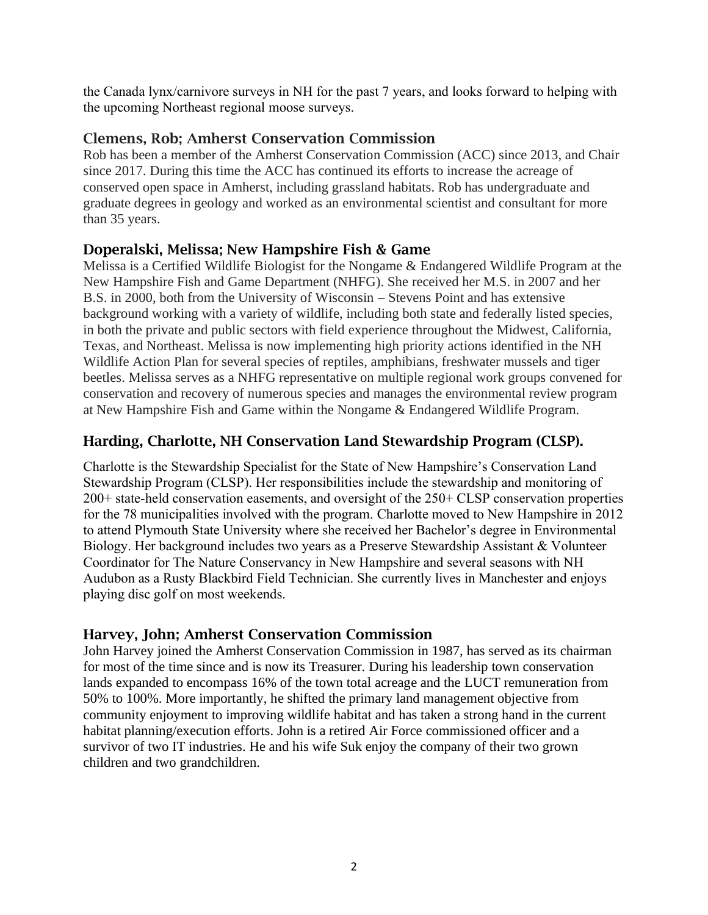the Canada lynx/carnivore surveys in NH for the past 7 years, and looks forward to helping with the upcoming Northeast regional moose surveys.

## Clemens, Rob; Amherst Conservation Commission

Rob has been a member of the Amherst Conservation Commission (ACC) since 2013, and Chair since 2017. During this time the ACC has continued its efforts to increase the acreage of conserved open space in Amherst, including grassland habitats. Rob has undergraduate and graduate degrees in geology and worked as an environmental scientist and consultant for more than 35 years.

# Doperalski, Melissa; New Hampshire Fish & Game

Melissa is a Certified Wildlife Biologist for the Nongame & Endangered Wildlife Program at the New Hampshire Fish and Game Department (NHFG). She received her M.S. in 2007 and her B.S. in 2000, both from the University of Wisconsin – Stevens Point and has extensive background working with a variety of wildlife, including both state and federally listed species, in both the private and public sectors with field experience throughout the Midwest, California, Texas, and Northeast. Melissa is now implementing high priority actions identified in the NH Wildlife Action Plan for several species of reptiles, amphibians, freshwater mussels and tiger beetles. Melissa serves as a NHFG representative on multiple regional work groups convened for conservation and recovery of numerous species and manages the environmental review program at New Hampshire Fish and Game within the Nongame & Endangered Wildlife Program.

# Harding, Charlotte, NH Conservation Land Stewardship Program (CLSP).

Charlotte is the Stewardship Specialist for the State of New Hampshire's Conservation Land Stewardship Program (CLSP). Her responsibilities include the stewardship and monitoring of 200+ state-held conservation easements, and oversight of the 250+ CLSP conservation properties for the 78 municipalities involved with the program. Charlotte moved to New Hampshire in 2012 to attend Plymouth State University where she received her Bachelor's degree in Environmental Biology. Her background includes two years as a Preserve Stewardship Assistant & Volunteer Coordinator for The Nature Conservancy in New Hampshire and several seasons with NH Audubon as a Rusty Blackbird Field Technician. She currently lives in Manchester and enjoys playing disc golf on most weekends.

# Harvey, John; Amherst Conservation Commission

John Harvey joined the Amherst Conservation Commission in 1987, has served as its chairman for most of the time since and is now its Treasurer. During his leadership town conservation lands expanded to encompass 16% of the town total acreage and the LUCT remuneration from 50% to 100%. More importantly, he shifted the primary land management objective from community enjoyment to improving wildlife habitat and has taken a strong hand in the current habitat planning/execution efforts. John is a retired Air Force commissioned officer and a survivor of two IT industries. He and his wife Suk enjoy the company of their two grown children and two grandchildren.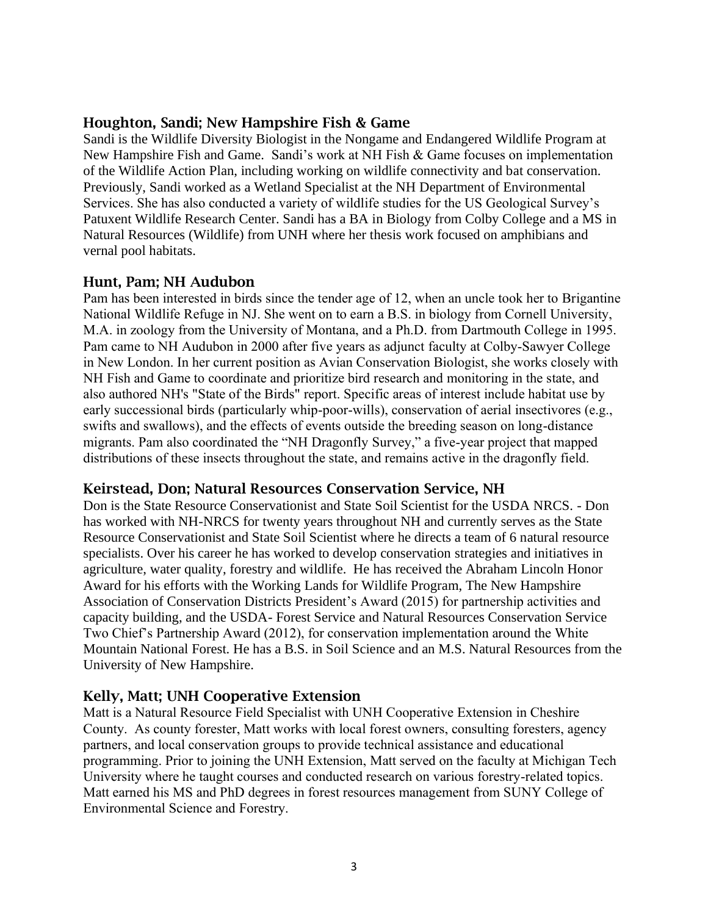#### Houghton, Sandi; New Hampshire Fish & Game

Sandi is the Wildlife Diversity Biologist in the Nongame and Endangered Wildlife Program at New Hampshire Fish and Game. Sandi's work at NH Fish & Game focuses on implementation of the Wildlife Action Plan, including working on wildlife connectivity and bat conservation. Previously, Sandi worked as a Wetland Specialist at the NH Department of Environmental Services. She has also conducted a variety of wildlife studies for the US Geological Survey's Patuxent Wildlife Research Center. Sandi has a BA in Biology from Colby College and a MS in Natural Resources (Wildlife) from UNH where her thesis work focused on amphibians and vernal pool habitats.

#### Hunt, Pam; NH Audubon

Pam has been interested in birds since the tender age of 12, when an uncle took her to Brigantine National Wildlife Refuge in NJ. She went on to earn a B.S. in biology from Cornell University, M.A. in zoology from the University of Montana, and a Ph.D. from Dartmouth College in 1995. Pam came to NH Audubon in 2000 after five years as adjunct faculty at Colby-Sawyer College in New London. In her current position as Avian Conservation Biologist, she works closely with NH Fish and Game to coordinate and prioritize bird research and monitoring in the state, and also authored NH's "State of the Birds" report. Specific areas of interest include habitat use by early successional birds (particularly whip-poor-wills), conservation of aerial insectivores (e.g., swifts and swallows), and the effects of events outside the breeding season on long-distance migrants. Pam also coordinated the "NH Dragonfly Survey," a five-year project that mapped distributions of these insects throughout the state, and remains active in the dragonfly field.

## Keirstead, Don; Natural Resources Conservation Service, NH

Don is the State Resource Conservationist and State Soil Scientist for the USDA NRCS. - Don has worked with NH-NRCS for twenty years throughout NH and currently serves as the State Resource Conservationist and State Soil Scientist where he directs a team of 6 natural resource specialists. Over his career he has worked to develop conservation strategies and initiatives in agriculture, water quality, forestry and wildlife. He has received the Abraham Lincoln Honor Award for his efforts with the Working Lands for Wildlife Program, The New Hampshire Association of Conservation Districts President's Award (2015) for partnership activities and capacity building, and the USDA- Forest Service and Natural Resources Conservation Service Two Chief's Partnership Award (2012), for conservation implementation around the White Mountain National Forest. He has a B.S. in Soil Science and an M.S. Natural Resources from the University of New Hampshire.

## Kelly, Matt; UNH Cooperative Extension

Matt is a Natural Resource Field Specialist with UNH Cooperative Extension in Cheshire County. As county forester, Matt works with local forest owners, consulting foresters, agency partners, and local conservation groups to provide technical assistance and educational programming. Prior to joining the UNH Extension, Matt served on the faculty at Michigan Tech University where he taught courses and conducted research on various forestry-related topics. Matt earned his MS and PhD degrees in forest resources management from SUNY College of Environmental Science and Forestry.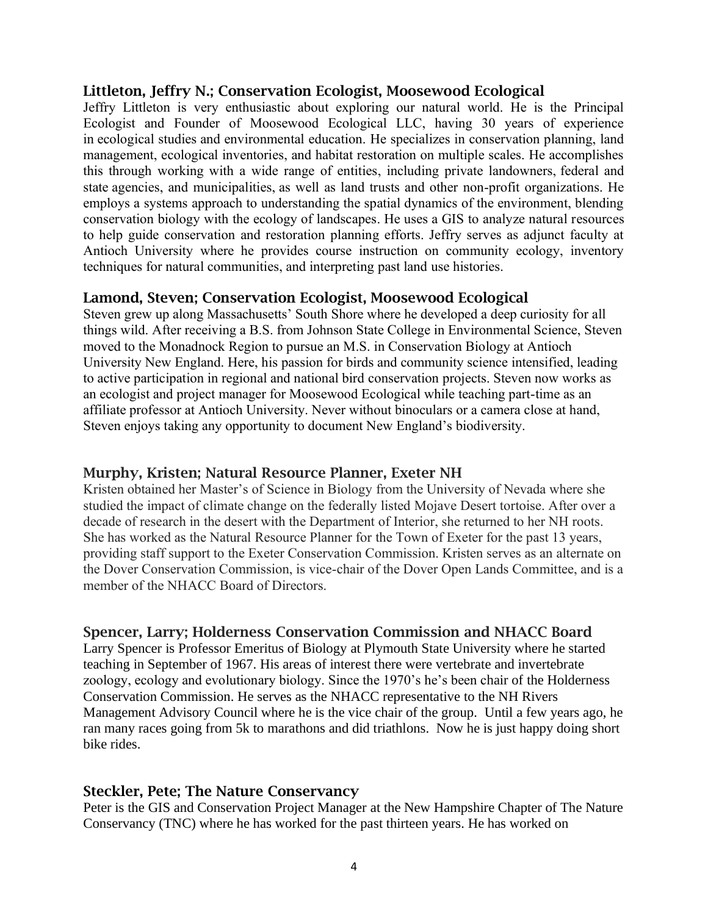#### Littleton, Jeffry N.; Conservation Ecologist, Moosewood Ecological

Jeffry Littleton is very enthusiastic about exploring our natural world. He is the Principal Ecologist and Founder of Moosewood Ecological LLC, having 30 years of experience in ecological studies and environmental education. He specializes in conservation planning, land management, ecological inventories, and habitat restoration on multiple scales. He accomplishes this through working with a wide range of entities, including private landowners, federal and state agencies, and municipalities, as well as land trusts and other non-profit organizations. He employs a systems approach to understanding the spatial dynamics of the environment, blending conservation biology with the ecology of landscapes. He uses a GIS to analyze natural resources to help guide conservation and restoration planning efforts. Jeffry serves as adjunct faculty at Antioch University where he provides course instruction on community ecology, inventory techniques for natural communities, and interpreting past land use histories.

#### Lamond, Steven; Conservation Ecologist, Moosewood Ecological

Steven grew up along Massachusetts' South Shore where he developed a deep curiosity for all things wild. After receiving a B.S. from Johnson State College in Environmental Science, Steven moved to the Monadnock Region to pursue an M.S. in Conservation Biology at Antioch University New England. Here, his passion for birds and community science intensified, leading to active participation in regional and national bird conservation projects. Steven now works as an ecologist and project manager for Moosewood Ecological while teaching part-time as an affiliate professor at Antioch University. Never without binoculars or a camera close at hand, Steven enjoys taking any opportunity to document New England's biodiversity.

#### Murphy, Kristen; Natural Resource Planner, Exeter NH

Kristen obtained her Master's of Science in Biology from the University of Nevada where she studied the impact of climate change on the federally listed Mojave Desert tortoise. After over a decade of research in the desert with the Department of Interior, she returned to her NH roots. She has worked as the Natural Resource Planner for the Town of Exeter for the past 13 years, providing staff support to the Exeter Conservation Commission. Kristen serves as an alternate on the Dover Conservation Commission, is vice-chair of the Dover Open Lands Committee, and is a member of the NHACC Board of Directors.

#### Spencer, Larry; Holderness Conservation Commission and NHACC Board

Larry Spencer is Professor Emeritus of Biology at Plymouth State University where he started teaching in September of 1967. His areas of interest there were vertebrate and invertebrate zoology, ecology and evolutionary biology. Since the 1970's he's been chair of the Holderness Conservation Commission. He serves as the NHACC representative to the NH Rivers Management Advisory Council where he is the vice chair of the group. Until a few years ago, he ran many races going from 5k to marathons and did triathlons. Now he is just happy doing short bike rides.

## Steckler, Pete; The Nature Conservancy

Peter is the GIS and Conservation Project Manager at the New Hampshire Chapter of The Nature Conservancy (TNC) where he has worked for the past thirteen years. He has worked on